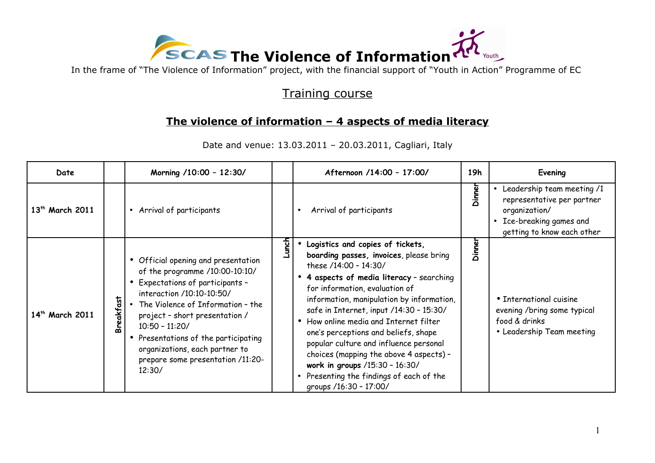

## Training course

## **The violence of information – 4 aspects of media literacy**

| Date                        |           | Morning /10:00 - 12:30/                                                                                                                                                                                                                                                                                                                                    |       | Afternoon /14:00 - 17:00/                                                                                                                                                                                                                                                                                                                                                                                                                                                                                                                                    | 19h    | Evening                                                                                                                                                     |
|-----------------------------|-----------|------------------------------------------------------------------------------------------------------------------------------------------------------------------------------------------------------------------------------------------------------------------------------------------------------------------------------------------------------------|-------|--------------------------------------------------------------------------------------------------------------------------------------------------------------------------------------------------------------------------------------------------------------------------------------------------------------------------------------------------------------------------------------------------------------------------------------------------------------------------------------------------------------------------------------------------------------|--------|-------------------------------------------------------------------------------------------------------------------------------------------------------------|
| 13 <sup>th</sup> March 2011 |           | • Arrival of participants                                                                                                                                                                                                                                                                                                                                  |       | Arrival of participants                                                                                                                                                                                                                                                                                                                                                                                                                                                                                                                                      | Dinner | Leadership team meeting /1<br>$\bullet$<br>representative per partner<br>organization/<br>Ice-breaking games and<br>$\bullet$<br>getting to know each other |
| 14 <sup>th</sup> March 2011 | Breakfast | • Official opening and presentation<br>of the programme /10:00-10:10/<br>• Expectations of participants -<br>interaction /10:10-10:50/<br>The Violence of Information - the<br>project - short presentation /<br>$10:50 - 11:20/$<br>• Presentations of the participating<br>organizations, each partner to<br>prepare some presentation /11:20-<br>12:30/ | Lunch | · Logistics and copies of tickets,<br>boarding passes, invoices, please bring<br>these /14:00 - 14:30/<br>• 4 aspects of media literacy - searching<br>for information, evaluation of<br>information, manipulation by information,<br>safe in Internet, input /14:30 - 15:30/<br>• How online media and Internet filter<br>one's perceptions and beliefs, shape<br>popular culture and influence personal<br>choices (mapping the above 4 aspects) -<br>work in groups /15:30 - 16:30/<br>• Presenting the findings of each of the<br>groups /16:30 - 17:00/ | Dinner | • International cuisine<br>evening /bring some typical<br>food & drinks<br>• Leadership Team meeting                                                        |

Date and venue: 13.03.2011 – 20.03.2011, Cagliari, Italy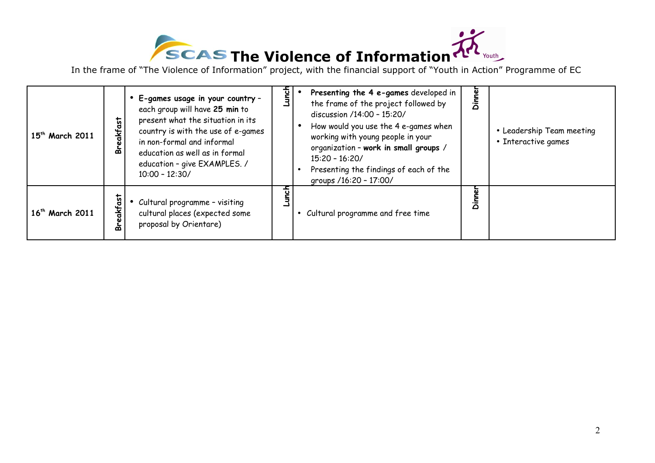

| 15 <sup>th</sup> March 2011 | eakfast<br>മ       | E-games usage in your country -<br>each group will have 25 min to<br>present what the situation in its<br>country is with the use of e-games<br>in non-formal and informal<br>education as well as in formal<br>education - give EXAMPLES. /<br>$10:00 - 12:30/$ | यू | Presenting the 4 e-games developed in<br>the frame of the project followed by<br>discussion /14:00 - 15:20/<br>How would you use the 4 e-games when<br>working with young people in your<br>organization - work in small groups /<br>$15:20 - 16:20/$<br>Presenting the findings of each of the<br>groups /16:20 - 17:00/ | g<br>Ξ<br>Θ | • Leadership Team meeting<br>• Interactive games |
|-----------------------------|--------------------|------------------------------------------------------------------------------------------------------------------------------------------------------------------------------------------------------------------------------------------------------------------|----|---------------------------------------------------------------------------------------------------------------------------------------------------------------------------------------------------------------------------------------------------------------------------------------------------------------------------|-------------|--------------------------------------------------|
| 16 <sup>th</sup> March 2011 | akfas <sup>.</sup> | Cultural programme - visiting<br>cultural places (expected some<br>proposal by Orientare)                                                                                                                                                                        |    | • Cultural programme and free time                                                                                                                                                                                                                                                                                        | Ξ<br>Θ      |                                                  |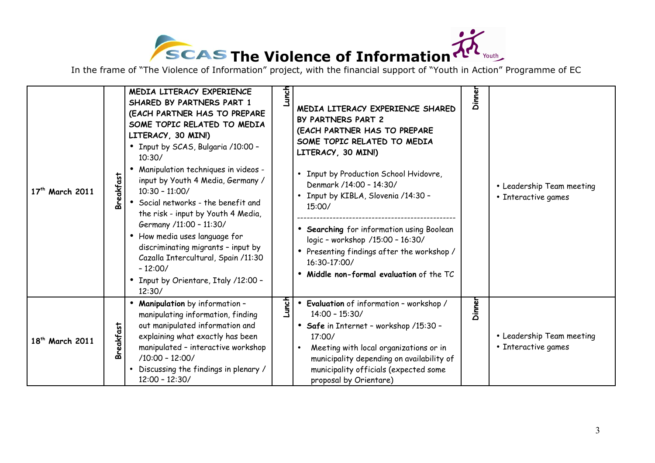

| 17 <sup>th</sup> March 2011 | <b>Breakfast</b> | MEDIA LITERACY EXPERIENCE<br>SHARED BY PARTNERS PART 1<br>(EACH PARTNER HAS TO PREPARE<br>SOME TOPIC RELATED TO MEDIA<br>LITERACY, 30 MIN!)<br>• Input by SCAS, Bulgaria /10:00 -<br>10:30/<br>Manipulation techniques in videos -<br>input by Youth 4 Media, Germany /<br>$10:30 - 11:00/$<br>• Social networks - the benefit and<br>the risk - input by Youth 4 Media,<br>Germany /11:00 - 11:30/<br>• How media uses language for<br>discriminating migrants - input by<br>Cazalla Intercultural, Spain /11:30<br>$-12:00/$<br>• Input by Orientare, Italy /12:00 -<br>12:30/ | <b>Lunch</b> | MEDIA LITERACY EXPERIENCE SHARED<br>BY PARTNERS PART 2<br>(EACH PARTNER HAS TO PREPARE<br>SOME TOPIC RELATED TO MEDIA<br>LITERACY, 30 MIN!)<br>• Input by Production School Hvidovre,<br>Denmark /14:00 - 14:30/<br>• Input by KIBLA, Slovenia /14:30 -<br>15:00/<br>• Searching for information using Boolean<br>logic - workshop /15:00 - 16:30/<br>• Presenting findings after the workshop /<br>16:30-17:00/<br>• Middle non-formal evaluation of the TC | Dinner | • Leadership Team meeting<br>• Interactive games |
|-----------------------------|------------------|----------------------------------------------------------------------------------------------------------------------------------------------------------------------------------------------------------------------------------------------------------------------------------------------------------------------------------------------------------------------------------------------------------------------------------------------------------------------------------------------------------------------------------------------------------------------------------|--------------|--------------------------------------------------------------------------------------------------------------------------------------------------------------------------------------------------------------------------------------------------------------------------------------------------------------------------------------------------------------------------------------------------------------------------------------------------------------|--------|--------------------------------------------------|
| 18 <sup>th</sup> March 2011 | Breakfast        | <b>Manipulation</b> by information -<br>$\bullet$<br>manipulating information, finding<br>out manipulated information and<br>explaining what exactly has been<br>manipulated - interactive workshop<br>$/10:00 - 12:00/$<br>Discussing the findings in plenary /<br>$12:00 - 12:30/$                                                                                                                                                                                                                                                                                             | Lunch        | • Evaluation of information - workshop /<br>$14:00 - 15:30/$<br>• Safe in Internet - workshop /15:30 -<br>17:00/<br>Meeting with local organizations or in<br>$\bullet$<br>municipality depending on availability of<br>municipality officials (expected some<br>proposal by Orientare)                                                                                                                                                                      | Dinner | • Leadership Team meeting<br>• Interactive games |